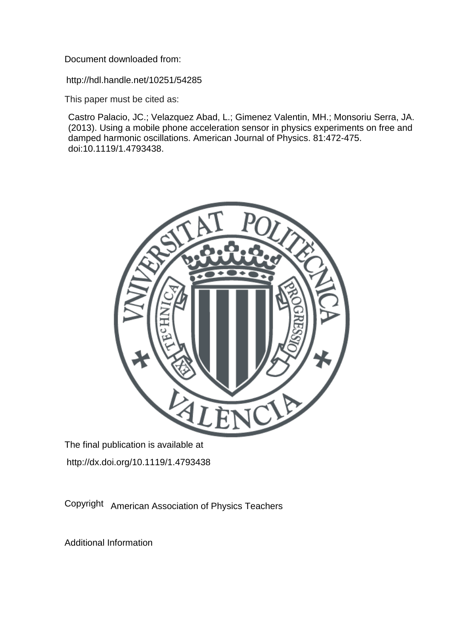Document downloaded from:

http://hdl.handle.net/10251/54285

This paper must be cited as:

Castro Palacio, JC.; Velazquez Abad, L.; Gimenez Valentin, MH.; Monsoriu Serra, JA. (2013). Using a mobile phone acceleration sensor in physics experiments on free and damped harmonic oscillations. American Journal of Physics. 81:472-475. doi:10.1119/1.4793438.



The final publication is available at http://dx.doi.org/10.1119/1.4793438

Copyright American Association of Physics Teachers

Additional Information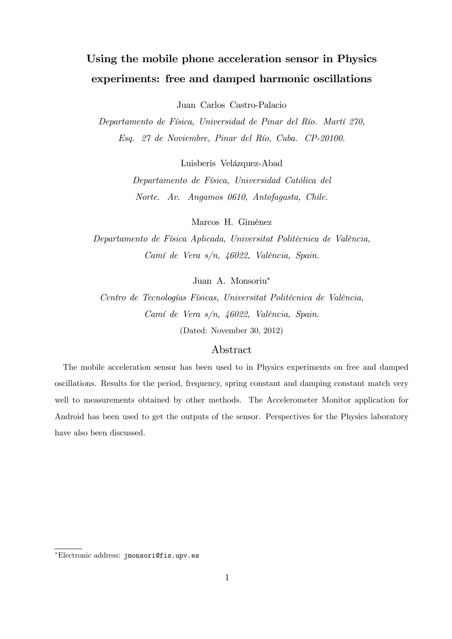# Using the mobile phone acceleration sensor in Physics experiments: free and damped harmonic oscillations

Juan Carlos Castro-Palacio

Departamento de Física, Universidad de Pinar del Río. Martí 270, Esq. 27 de Noviembre, Pinar del Río, Cuba. CP-20100.

Luisberis Velázquez-Abad

Departamento de Física, Universidad Católica del Norte. Av. Angamos 0610, Antofagasta, Chile.

Marcos H. Giménez

Departamento de Física Aplicada, Universitat Politècnica de València, Camí de Vera s/n, 46022, València, Spain.

Juan A. Monsoriu<sup>∗</sup>

Centro de Tecnologías Físicas, Universitat Politècnica de València, Camí de Vera s/n, 46022, València, Spain. (Dated: November 30, 2012)

# Abstract

The mobile acceleration sensor has been used to in Physics experiments on free and damped oscillations. Results for the period, frequency, spring constant and damping constant match very well to measurements obtained by other methods. The Accelerometer Monitor application for Android has been used to get the outputs of the sensor. Perspectives for the Physics laboratory have also been discussed.

<sup>∗</sup>Electronic address: jmonsori@fis.upv.es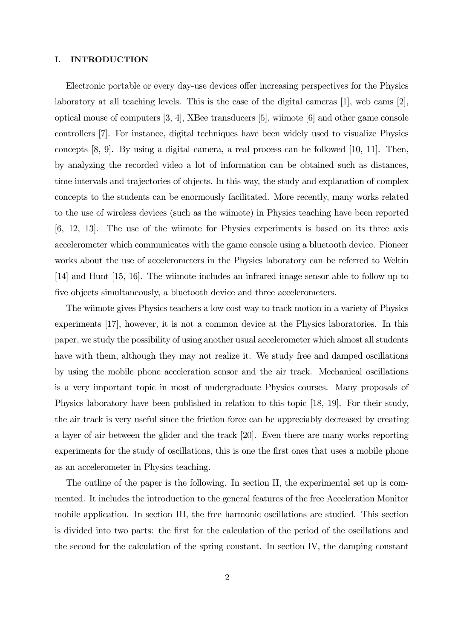#### I. INTRODUCTION

Electronic portable or every day-use devices offer increasing perspectives for the Physics laboratory at all teaching levels. This is the case of the digital cameras [1], web cams [2], optical mouse of computers [3, 4], XBee transducers [5], wiimote [6] and other game console controllers [7]. For instance, digital techniques have been widely used to visualize Physics concepts [8, 9]. By using a digital camera, a real process can be followed [10, 11]. Then, by analyzing the recorded video a lot of information can be obtained such as distances, time intervals and trajectories of objects. In this way, the study and explanation of complex concepts to the students can be enormously facilitated. More recently, many works related to the use of wireless devices (such as the wiimote) in Physics teaching have been reported [6, 12, 13]. The use of the wiimote for Physics experiments is based on its three axis accelerometer which communicates with the game console using a bluetooth device. Pioneer works about the use of accelerometers in the Physics laboratory can be referred to Weltin [14] and Hunt [15, 16]. The wiimote includes an infrared image sensor able to follow up to five objects simultaneously, a bluetooth device and three accelerometers.

The wiimote gives Physics teachers a low cost way to track motion in a variety of Physics experiments [17], however, it is not a common device at the Physics laboratories. In this paper, we study the possibility of using another usual accelerometer which almost all students have with them, although they may not realize it. We study free and damped oscillations by using the mobile phone acceleration sensor and the air track. Mechanical oscillations is a very important topic in most of undergraduate Physics courses. Many proposals of Physics laboratory have been published in relation to this topic [18, 19]. For their study, the air track is very useful since the friction force can be appreciably decreased by creating a layer of air between the glider and the track [20]. Even there are many works reporting experiments for the study of oscillations, this is one the first ones that uses a mobile phone as an accelerometer in Physics teaching.

The outline of the paper is the following. In section II, the experimental set up is commented. It includes the introduction to the general features of the free Acceleration Monitor mobile application. In section III, the free harmonic oscillations are studied. This section is divided into two parts: the first for the calculation of the period of the oscillations and the second for the calculation of the spring constant. In section IV, the damping constant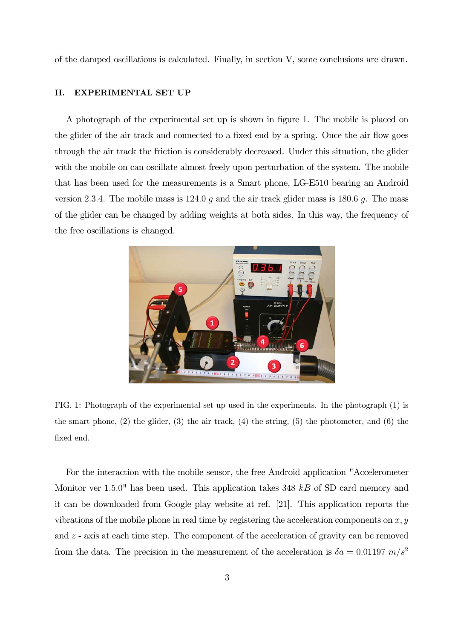of the damped oscillations is calculated. Finally, in section V, some conclusions are drawn.

#### II. EXPERIMENTAL SET UP

A photograph of the experimental set up is shown in figure 1. The mobile is placed on the glider of the air track and connected to a fixed end by a spring. Once the air flow goes through the air track the friction is considerably decreased. Under this situation, the glider with the mobile on can oscillate almost freely upon perturbation of the system. The mobile that has been used for the measurements is a Smart phone, LG-E510 bearing an Android version 2.3.4. The mobile mass is 124.0  $q$  and the air track glider mass is 180.6  $q$ . The mass of the glider can be changed by adding weights at both sides. In this way, the frequency of the free oscillations is changed.



FIG. 1: Photograph of the experimental set up used in the experiments. In the photograph (1) is the smart phone,  $(2)$  the glider,  $(3)$  the air track,  $(4)$  the string,  $(5)$  the photometer, and  $(6)$  the fixed end.

For the interaction with the mobile sensor, the free Android application "Accelerometer Monitor ver  $1.5.0$ " has been used. This application takes 348  $kB$  of SD card memory and it can be downloaded from Google play website at ref. [21]. This application reports the vibrations of the mobile phone in real time by registering the acceleration components on  $x, y$ and  $z$  - axis at each time step. The component of the acceleration of gravity can be removed from the data. The precision in the measurement of the acceleration is  $\delta a = 0.01197$   $m/s^2$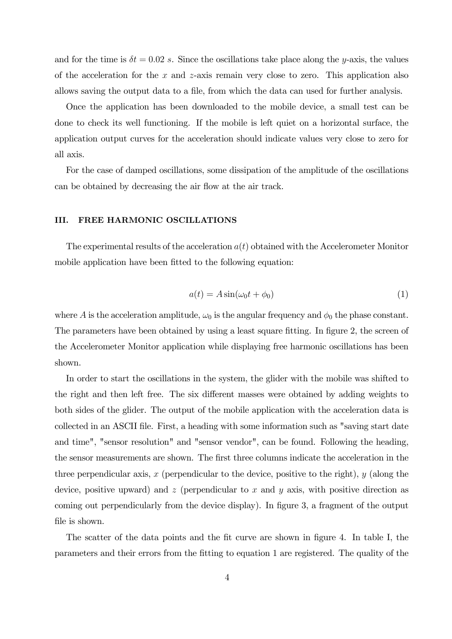and for the time is  $\delta t = 0.02$  s. Since the oscillations take place along the y-axis, the values of the acceleration for the  $x$  and  $z$ -axis remain very close to zero. This application also allows saving the output data to a file, from which the data can used for further analysis.

Once the application has been downloaded to the mobile device, a small test can be done to check its well functioning. If the mobile is left quiet on a horizontal surface, the application output curves for the acceleration should indicate values very close to zero for all axis.

For the case of damped oscillations, some dissipation of the amplitude of the oscillations can be obtained by decreasing the air flow at the air track.

## III. FREE HARMONIC OSCILLATIONS

The experimental results of the acceleration  $a(t)$  obtained with the Accelerometer Monitor mobile application have been fitted to the following equation:

$$
a(t) = A\sin(\omega_0 t + \phi_0)
$$
 (1)

where A is the acceleration amplitude,  $\omega_0$  is the angular frequency and  $\phi_0$  the phase constant. The parameters have been obtained by using a least square fitting. In figure 2, the screen of the Accelerometer Monitor application while displaying free harmonic oscillations has been shown.

In order to start the oscillations in the system, the glider with the mobile was shifted to the right and then left free. The six different masses were obtained by adding weights to both sides of the glider. The output of the mobile application with the acceleration data is collected in an ASCII file. First, a heading with some information such as "saving start date and time", "sensor resolution" and "sensor vendor", can be found. Following the heading, the sensor measurements are shown. The first three columns indicate the acceleration in the three perpendicular axis,  $x$  (perpendicular to the device, positive to the right),  $y$  (along the device, positive upward) and  $z$  (perpendicular to  $x$  and  $y$  axis, with positive direction as coming out perpendicularly from the device display). In figure 3, a fragment of the output file is shown.

The scatter of the data points and the fit curve are shown in figure 4. In table I, the parameters and their errors from the fitting to equation 1 are registered. The quality of the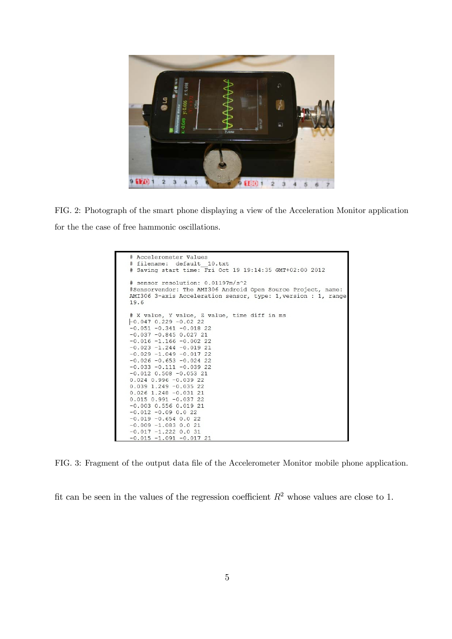

FIG. 2: Photograph of the smart phone displaying a view of the Acceleration Monitor application for the the case of free hammonic oscillations.

| # sensor resolution: 0.01197m/s^2<br>#Sensorvendor: The AMI306 Android Open Source Project, name:<br>AMI306 3-axis Acceleration sensor, type: 1, version : 1, range<br>19.6                                                                                                                                                                                                                                                                                                                                                                                                 |  |
|-----------------------------------------------------------------------------------------------------------------------------------------------------------------------------------------------------------------------------------------------------------------------------------------------------------------------------------------------------------------------------------------------------------------------------------------------------------------------------------------------------------------------------------------------------------------------------|--|
| # X value, Y value, Z value, time diff in ms<br>$-0.047$ 0.229 $-0.02$ 22<br>$-0.051 - 0.341 - 0.018$ 22<br>$-0.037 - 0.845 0.027 21$<br>$-0.016 -1.166 -0.002$ 22<br>$-0.023 -1.244 -0.01921$<br>$-0.029 -1.049 -0.01722$<br>$-0.026 - 0.653 - 0.024$ 22<br>$-0.033 - 0.111 - 0.03922$<br>$-0.012$ $0.508$ $-0.053$ 21<br>$0.024$ 0.996 -0.039 22<br>$0.039$ 1.249 -0.035 22<br>$0.026$ 1.248 -0.031 21<br>$0.015$ $0.991$ $-0.037$ 22<br>$-0.003$ 0.556 0.019 21<br>$-0.012 - 0.09 0.0 22$<br>$-0.019 - 0.654 0.0 22$<br>$-0.009 -1.083 0.021$<br>$-0.017 - 1.222 0.0 31$ |  |

FIG. 3: Fragment of the output data file of the Accelerometer Monitor mobile phone application.

fit can be seen in the values of the regression coefficient  $R^2$  whose values are close to 1.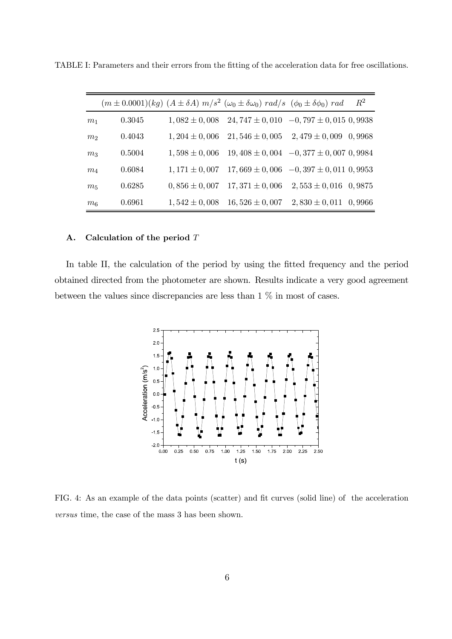|                |        |                   | $(m \pm 0.0001)(kg)$ $(A \pm \delta A)$ $m/s^2$ $(\omega_0 \pm \delta \omega_0)$ $rad/s$ $(\phi_0 \pm \delta \phi_0)$ $rad$ |                                              | $\,R^2$ |
|----------------|--------|-------------------|-----------------------------------------------------------------------------------------------------------------------------|----------------------------------------------|---------|
| m <sub>1</sub> | 0.3045 | $1,082 \pm 0,008$ | $24,747 \pm 0,010$                                                                                                          | $-0,797 \pm 0,015,09938$                     |         |
| m <sub>2</sub> | 0.4043 | $1,204 \pm 0,006$ | $21,546 \pm 0,005$                                                                                                          | $2,479 \pm 0,009$ 0,9968                     |         |
| m <sub>3</sub> | 0.5004 | $1,598 \pm 0,006$ |                                                                                                                             | $19,408 \pm 0,004$ $-0,377 \pm 0,007$ 0,9984 |         |
| $m_4$          | 0.6084 | $1,171 \pm 0,007$ |                                                                                                                             | $17,669 \pm 0,006$ $-0,397 \pm 0,011$ 0,9953 |         |
| $m_5$          | 0.6285 | $0,856 \pm 0,007$ | $17,371 \pm 0,006$                                                                                                          | $2,553 \pm 0,016$ 0,9875                     |         |
| m <sub>6</sub> | 0.6961 | $1,542 \pm 0,008$ | $16,526 \pm 0,007$                                                                                                          | $2,830 \pm 0,011$ 0,9966                     |         |

TABLE I: Parameters and their errors from the fitting of the acceleration data for free oscillations.

#### A. Calculation of the period  $T$

In table II, the calculation of the period by using the fitted frequency and the period obtained directed from the photometer are shown. Results indicate a very good agreement between the values since discrepancies are less than 1 % in most of cases.



FIG. 4: As an example of the data points (scatter) and fit curves (solid line) of the acceleration versus time, the case of the mass 3 has been shown.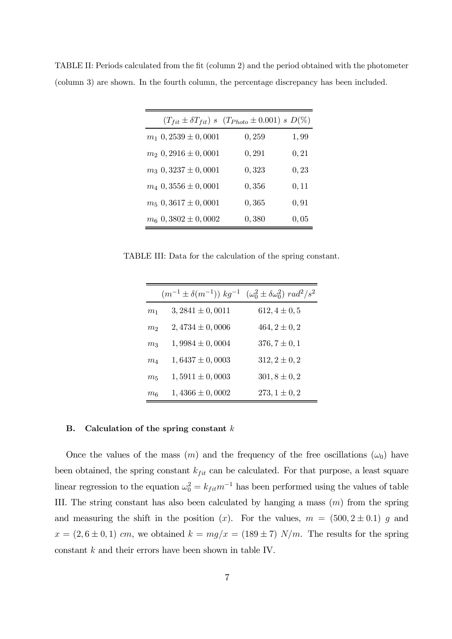|                             | $(T_{fit} \pm \delta T_{fit})$ s $(T_{Photo} \pm 0.001)$ s $D(\%)$ |       |
|-----------------------------|--------------------------------------------------------------------|-------|
| $m_1$ 0, 2539 $\pm$ 0, 0001 | 0,259                                                              | 1,99  |
| $m_2$ 0, 2916 $\pm$ 0, 0001 | 0, 291                                                             | 0, 21 |
| $m_3$ 0, 3237 $\pm$ 0, 0001 | 0,323                                                              | 0, 23 |
| $m_4$ 0, 3556 $\pm$ 0, 0001 | 0,356                                                              | 0, 11 |
| $m_5$ 0, 3617 $\pm$ 0, 0001 | 0,365                                                              | 0, 91 |
| $m_6$ 0, 3802 $\pm$ 0, 0002 | 0,380                                                              | 0,05  |

TABLE II: Periods calculated from the fit (column 2) and the period obtained with the photometer (column 3) are shown. In the fourth column, the percentage discrepancy has been included.

TABLE III: Data for the calculation of the spring constant.

|                  | $(m^{-1} \pm \delta(m^{-1}))$ $kg^{-1}$ | $(\omega_0^2 \pm \delta \omega_0^2) rad^2/s^2$ |
|------------------|-----------------------------------------|------------------------------------------------|
| m <sub>1</sub>   | $3,2841 \pm 0,0011$                     | $612, 4 \pm 0, 5$                              |
| $m_2$            | $2,4734 \pm 0,0006$                     | $464, 2 \pm 0, 2$                              |
| m <sub>3</sub>   | $1,9984 \pm 0,0004$                     | $376, 7 \pm 0, 1$                              |
| $m_{4}$          | $1,6437 \pm 0,0003$                     | $312, 2 \pm 0, 2$                              |
| m <sub>5</sub>   | $1,5911 \pm 0,0003$                     | $301, 8 \pm 0, 2$                              |
| $m_{\mathsf{6}}$ | $1,4366 \pm 0,0002$                     | $273, 1 \pm 0, 2$                              |

#### B. Calculation of the spring constant  $k$

Once the values of the mass  $(m)$  and the frequency of the free oscillations  $(\omega_0)$  have been obtained, the spring constant  $k_{fit}$  can be calculated. For that purpose, a least square linear regression to the equation  $\omega_0^2 = k_{fit} m^{-1}$  has been performed using the values of table III. The string constant has also been calculated by hanging a mass  $(m)$  from the spring and measuring the shift in the position (x). For the values,  $m = (500, 2 \pm 0.1)$  g and  $x = (2, 6 \pm 0, 1)$  cm, we obtained  $k = mg/x = (189 \pm 7)$  N/m. The results for the spring constant  $k$  and their errors have been shown in table IV.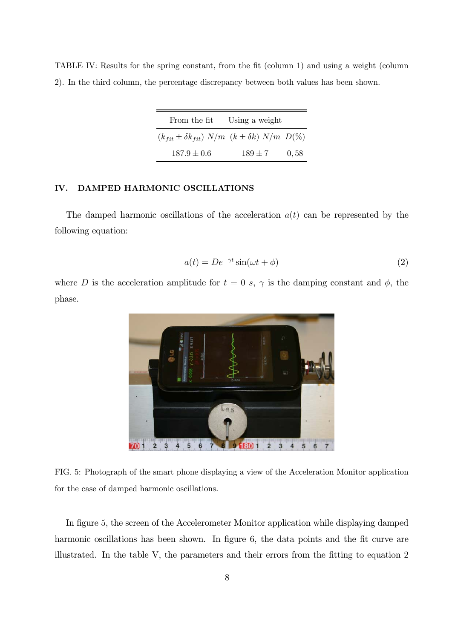| TABLE IV: Results for the spring constant, from the fit (column 1) and using a weight (column |  |  |  |  |  |
|-----------------------------------------------------------------------------------------------|--|--|--|--|--|
| 2). In the third column, the percentage discrepancy between both values has been shown.       |  |  |  |  |  |

| From the fit                                                          | Using a weight |      |
|-----------------------------------------------------------------------|----------------|------|
| $(k_{fit} \pm \delta k_{fit})$ $N/m$ $(k \pm \delta k)$ $N/m$ $D(\%)$ |                |      |
| $187.9 \pm 0.6$                                                       | $189 \pm 7$    | 0,58 |

# IV. DAMPED HARMONIC OSCILLATIONS

The damped harmonic oscillations of the acceleration  $a(t)$  can be represented by the following equation:

$$
a(t) = De^{-\gamma t} \sin(\omega t + \phi)
$$
\n(2)

where D is the acceleration amplitude for  $t = 0$  s,  $\gamma$  is the damping constant and  $\phi$ , the phase.



FIG. 5: Photograph of the smart phone displaying a view of the Acceleration Monitor application for the case of damped harmonic oscillations.

In figure 5, the screen of the Accelerometer Monitor application while displaying damped harmonic oscillations has been shown. In figure 6, the data points and the fit curve are illustrated. In the table V, the parameters and their errors from the fitting to equation 2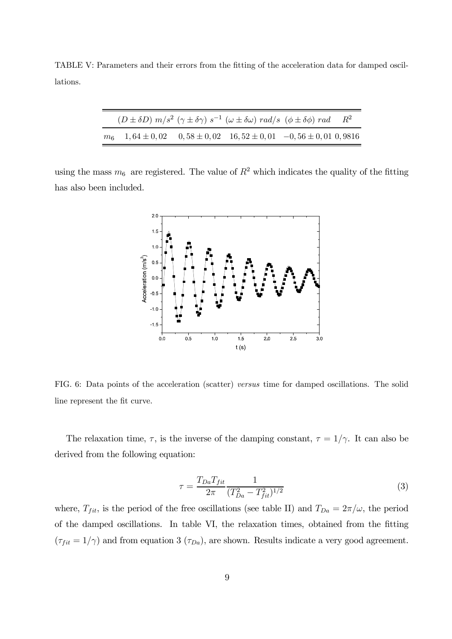TABLE V: Parameters and their errors from the fitting of the acceleration data for damped oscillations.

| $(D \pm \delta D)$ $m/s^2$ $(\gamma \pm \delta \gamma)$ $s^{-1}$ $(\omega \pm \delta \omega)$ rad/s $(\phi \pm \delta \phi)$ rad $R^2$ |  |  |
|----------------------------------------------------------------------------------------------------------------------------------------|--|--|
| $m_6$ 1, 64 ± 0, 02 0, 58 ± 0, 02 16, 52 ± 0, 01 -0, 56 ± 0, 01 0, 9816                                                                |  |  |

using the mass  $m_6$  are registered. The value of  $R^2$  which indicates the quality of the fitting has also been included.



FIG. 6: Data points of the acceleration (scatter) versus time for damped oscillations. The solid line represent the fit curve.

The relaxation time,  $\tau$ , is the inverse of the damping constant,  $\tau = 1/\gamma$ . It can also be derived from the following equation:

$$
\tau = \frac{T_{Da} T_{fit}}{2\pi} \frac{1}{(T_{Da}^2 - T_{fit}^2)^{1/2}}\tag{3}
$$

where,  $T_{fit}$ , is the period of the free oscillations (see table II) and  $T_{Da} = 2\pi/\omega$ , the period of the damped oscillations. In table VI, the relaxation times, obtained from the fitting  $(\tau_{fit} = 1/\gamma)$  and from equation 3  $(\tau_{Da})$ , are shown. Results indicate a very good agreement.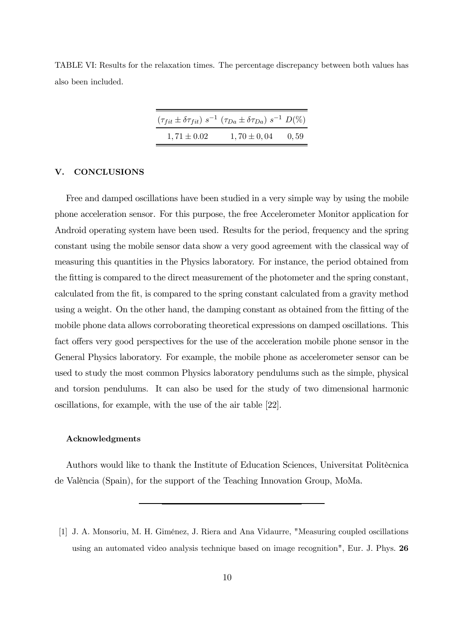TABLE VI: Results for the relaxation times. The percentage discrepancy between both values has also been included.

|                 | $(\tau_{fit} \pm \delta \tau_{fit}) s^{-1} (\tau_{Da} \pm \delta \tau_{Da}) s^{-1} D(\%)$ |       |
|-----------------|-------------------------------------------------------------------------------------------|-------|
| $1,71 \pm 0.02$ | $1,70 \pm 0,04$                                                                           | 0, 59 |

## V. CONCLUSIONS

Free and damped oscillations have been studied in a very simple way by using the mobile phone acceleration sensor. For this purpose, the free Accelerometer Monitor application for Android operating system have been used. Results for the period, frequency and the spring constant using the mobile sensor data show a very good agreement with the classical way of measuring this quantities in the Physics laboratory. For instance, the period obtained from the fitting is compared to the direct measurement of the photometer and the spring constant, calculated from the fit, is compared to the spring constant calculated from a gravity method using a weight. On the other hand, the damping constant as obtained from the fitting of the mobile phone data allows corroborating theoretical expressions on damped oscillations. This fact offers very good perspectives for the use of the acceleration mobile phone sensor in the General Physics laboratory. For example, the mobile phone as accelerometer sensor can be used to study the most common Physics laboratory pendulums such as the simple, physical and torsion pendulums. It can also be used for the study of two dimensional harmonic oscillations, for example, with the use of the air table [22].

## Acknowledgments

Authors would like to thank the Institute of Education Sciences, Universitat Politècnica de València (Spain), for the support of the Teaching Innovation Group, MoMa.

<sup>[1]</sup> J. A. Monsoriu, M. H. Giménez, J. Riera and Ana Vidaurre, "Measuring coupled oscillations using an automated video analysis technique based on image recognition", Eur. J. Phys. 26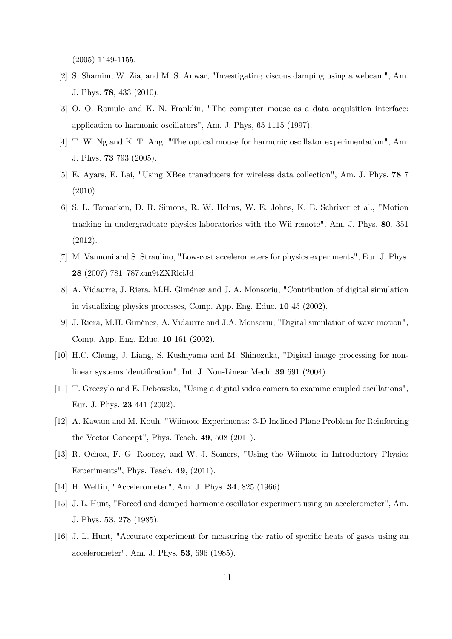(2005) 1149-1155.

- [2] S. Shamim, W. Zia, and M. S. Anwar, "Investigating viscous damping using a webcam", Am. J. Phys. 78, 433 (2010).
- [3] O. O. Romulo and K. N. Franklin, "The computer mouse as a data acquisition interface: application to harmonic oscillators", Am. J. Phys, 65 1115 (1997).
- [4] T. W. Ng and K. T. Ang, "The optical mouse for harmonic oscillator experimentation", Am. J. Phys. 73 793 (2005).
- [5] E. Ayars, E. Lai, "Using XBee transducers for wireless data collection", Am. J. Phys. 78 7 (2010).
- [6] S. L. Tomarken, D. R. Simons, R. W. Helms, W. E. Johns, K. E. Schriver et al., "Motion tracking in undergraduate physics laboratories with the Wii remote", Am. J. Phys. 80, 351 (2012).
- [7] M. Vannoni and S. Straulino, "Low-cost accelerometers for physics experiments", Eur. J. Phys. 28 (2007) 781—787.cm9tZXRlciJd
- [8] A. Vidaurre, J. Riera, M.H. Giménez and J. A. Monsoriu, "Contribution of digital simulation in visualizing physics processes, Comp. App. Eng. Educ. 10 45 (2002).
- [9] J. Riera, M.H. Giménez, A. Vidaurre and J.A. Monsoriu, "Digital simulation of wave motion", Comp. App. Eng. Educ. 10 161 (2002).
- [10] H.C. Chung, J. Liang, S. Kushiyama and M. Shinozuka, "Digital image processing for nonlinear systems identification", Int. J. Non-Linear Mech. 39 691 (2004).
- [11] T. Greczylo and E. Debowska, "Using a digital video camera to examine coupled oscillations", Eur. J. Phys. 23 441 (2002).
- [12] A. Kawam and M. Kouh, "Wiimote Experiments: 3-D Inclined Plane Problem for Reinforcing the Vector Concept", Phys. Teach. 49, 508 (2011).
- [13] R. Ochoa, F. G. Rooney, and W. J. Somers, "Using the Wiimote in Introductory Physics Experiments", Phys. Teach. 49, (2011).
- [14] H. Weltin, "Accelerometer", Am. J. Phys. **34**, 825 (1966).
- [15] J. L. Hunt, "Forced and damped harmonic oscillator experiment using an accelerometer", Am. J. Phys. 53, 278 (1985).
- [16] J. L. Hunt, "Accurate experiment for measuring the ratio of specific heats of gases using an accelerometer", Am. J. Phys. 53, 696 (1985).